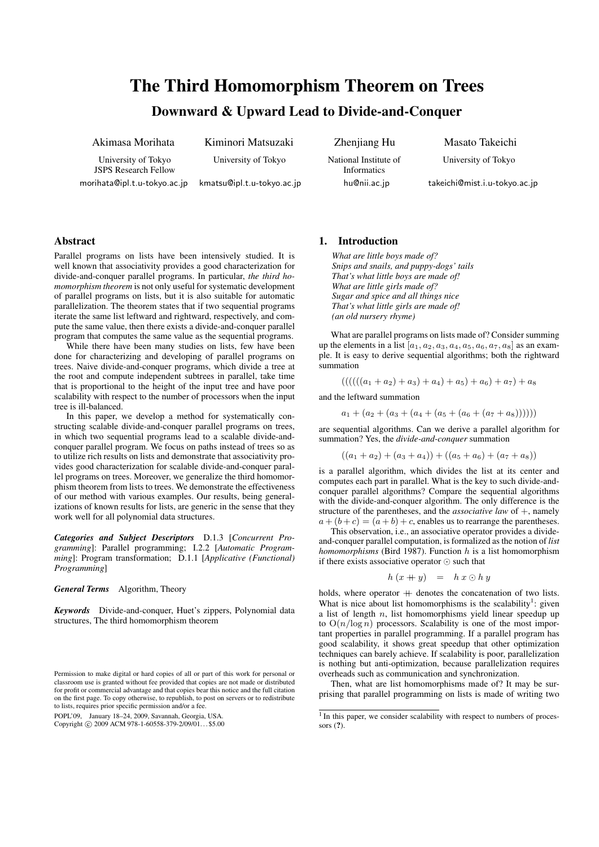# The Third Homomorphism Theorem on Trees Downward & Upward Lead to Divide-and-Conquer

Akimasa Morihata Kiminori Matsuzaki Zhenjiang Hu Masato Takeichi

University of Tokyo JSPS Research Fellow

University of Tokyo National Institute of Informatics

University of Tokyo

morihata@ipl.t.u-tokyo.ac.jp kmatsu@ipl.t.u-tokyo.ac.jp hu@nii.ac.jp takeichi@mist.i.u-tokyo.ac.jp

# Abstract

Parallel programs on lists have been intensively studied. It is well known that associativity provides a good characterization for divide-and-conquer parallel programs. In particular, *the third homomorphism theorem* is not only useful for systematic development of parallel programs on lists, but it is also suitable for automatic parallelization. The theorem states that if two sequential programs iterate the same list leftward and rightward, respectively, and compute the same value, then there exists a divide-and-conquer parallel program that computes the same value as the sequential programs.

While there have been many studies on lists, few have been done for characterizing and developing of parallel programs on trees. Naive divide-and-conquer programs, which divide a tree at the root and compute independent subtrees in parallel, take time that is proportional to the height of the input tree and have poor scalability with respect to the number of processors when the input tree is ill-balanced.

In this paper, we develop a method for systematically constructing scalable divide-and-conquer parallel programs on trees, in which two sequential programs lead to a scalable divide-andconquer parallel program. We focus on paths instead of trees so as to utilize rich results on lists and demonstrate that associativity provides good characterization for scalable divide-and-conquer parallel programs on trees. Moreover, we generalize the third homomorphism theorem from lists to trees. We demonstrate the effectiveness of our method with various examples. Our results, being generalizations of known results for lists, are generic in the sense that they work well for all polynomial data structures.

*Categories and Subject Descriptors* D.1.3 [*Concurrent Programming*]: Parallel programming; I.2.2 [*Automatic Programming*]: Program transformation; D.1.1 [*Applicative (Functional) Programming*]

#### *General Terms* Algorithm, Theory

*Keywords* Divide-and-conquer, Huet's zippers, Polynomial data structures, The third homomorphism theorem

POPL'09, January 18–24, 2009, Savannah, Georgia, USA.

# 1. Introduction

*What are little boys made of? Snips and snails, and puppy-dogs' tails That's what little boys are made of! What are little girls made of? Sugar and spice and all things nice That's what little girls are made of! (an old nursery rhyme)*

What are parallel programs on lists made of? Consider summing up the elements in a list  $[a_1, a_2, a_3, a_4, a_5, a_6, a_7, a_8]$  as an example. It is easy to derive sequential algorithms; both the rightward summation

$$
((((((a_1 + a_2) + a_3) + a_4) + a_5) + a_6) + a_7) + a_8
$$

and the leftward summation

$$
a_1 + (a_2 + (a_3 + (a_4 + (a_5 + (a_6 + (a_7 + a_8))))))
$$

are sequential algorithms. Can we derive a parallel algorithm for summation? Yes, the *divide-and-conquer* summation

$$
((a_1 + a_2) + (a_3 + a_4)) + ((a_5 + a_6) + (a_7 + a_8))
$$

is a parallel algorithm, which divides the list at its center and computes each part in parallel. What is the key to such divide-andconquer parallel algorithms? Compare the sequential algorithms with the divide-and-conquer algorithm. The only difference is the structure of the parentheses, and the *associative law* of +, namely  $a + (b + c) = (a + b) + c$ , enables us to rearrange the parentheses.

This observation, i.e., an associative operator provides a divideand-conquer parallel computation, is formalized as the notion of *list homomorphisms* (Bird 1987). Function *h* is a list homomorphism if there exists associative operator *⊙* such that

$$
h(x + y) = h x \odot h y
$$

holds, where operator  $+$  denotes the concatenation of two lists. What is nice about list homomorphisms is the scalability<sup>1</sup>: given a list of length *n*, list homomorphisms yield linear speedup up to  $O(n/\log n)$  processors. Scalability is one of the most important properties in parallel programming. If a parallel program has good scalability, it shows great speedup that other optimization techniques can barely achieve. If scalability is poor, parallelization is nothing but anti-optimization, because parallelization requires overheads such as communication and synchronization.

Then, what are list homomorphisms made of? It may be surprising that parallel programming on lists is made of writing two

Permission to make digital or hard copies of all or part of this work for personal or classroom use is granted without fee provided that copies are not made or distributed for profit or commercial advantage and that copies bear this notice and the full citation on the first page. To copy otherwise, to republish, to post on servers or to redistribute to lists, requires prior specific permission and/or a fee.

Copyright *⃝*c 2009 ACM 978-1-60558-379-2/09/01. . . \$5.00

<sup>&</sup>lt;sup>1</sup> In this paper, we consider scalability with respect to numbers of processors (?).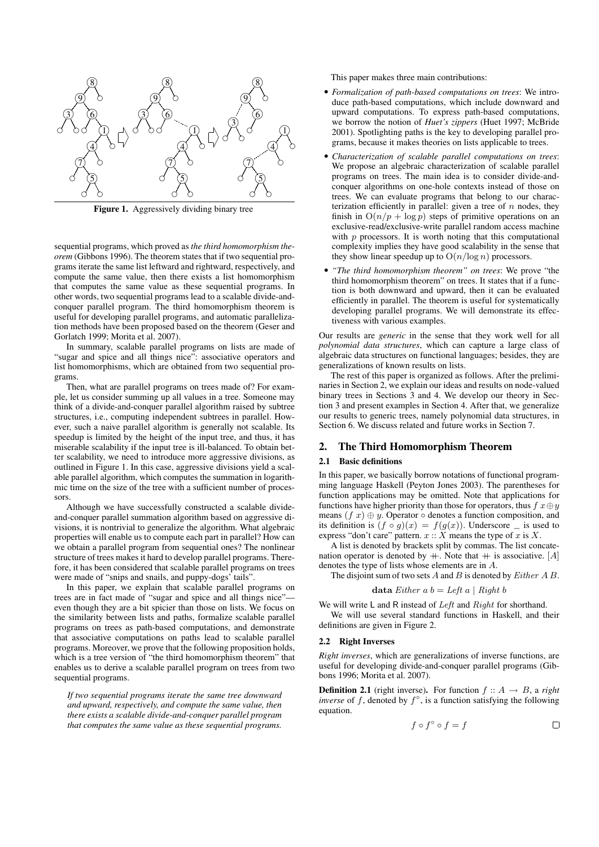

Figure 1. Aggressively dividing binary tree

sequential programs, which proved as *the third homomorphism theorem* (Gibbons 1996). The theorem states that if two sequential programs iterate the same list leftward and rightward, respectively, and compute the same value, then there exists a list homomorphism that computes the same value as these sequential programs. In other words, two sequential programs lead to a scalable divide-andconquer parallel program. The third homomorphism theorem is useful for developing parallel programs, and automatic parallelization methods have been proposed based on the theorem (Geser and Gorlatch 1999; Morita et al. 2007).

In summary, scalable parallel programs on lists are made of "sugar and spice and all things nice": associative operators and list homomorphisms, which are obtained from two sequential programs.

Then, what are parallel programs on trees made of? For example, let us consider summing up all values in a tree. Someone may think of a divide-and-conquer parallel algorithm raised by subtree structures, i.e., computing independent subtrees in parallel. However, such a naive parallel algorithm is generally not scalable. Its speedup is limited by the height of the input tree, and thus, it has miserable scalability if the input tree is ill-balanced. To obtain better scalability, we need to introduce more aggressive divisions, as outlined in Figure 1. In this case, aggressive divisions yield a scalable parallel algorithm, which computes the summation in logarithmic time on the size of the tree with a sufficient number of processors.

Although we have successfully constructed a scalable divideand-conquer parallel summation algorithm based on aggressive divisions, it is nontrivial to generalize the algorithm. What algebraic properties will enable us to compute each part in parallel? How can we obtain a parallel program from sequential ones? The nonlinear structure of trees makes it hard to develop parallel programs. Therefore, it has been considered that scalable parallel programs on trees were made of "snips and snails, and puppy-dogs' tails".

In this paper, we explain that scalable parallel programs on trees are in fact made of "sugar and spice and all things nice" even though they are a bit spicier than those on lists. We focus on the similarity between lists and paths, formalize scalable parallel programs on trees as path-based computations, and demonstrate that associative computations on paths lead to scalable parallel programs. Moreover, we prove that the following proposition holds, which is a tree version of "the third homomorphism theorem" that enables us to derive a scalable parallel program on trees from two sequential programs.

*If two sequential programs iterate the same tree downward and upward, respectively, and compute the same value, then there exists a scalable divide-and-conquer parallel program that computes the same value as these sequential programs.*

This paper makes three main contributions:

- *• Formalization of path-based computations on trees*: We introduce path-based computations, which include downward and upward computations. To express path-based computations, we borrow the notion of *Huet's zippers* (Huet 1997; McBride 2001). Spotlighting paths is the key to developing parallel programs, because it makes theories on lists applicable to trees.
- *• Characterization of scalable parallel computations on trees*: We propose an algebraic characterization of scalable parallel programs on trees. The main idea is to consider divide-andconquer algorithms on one-hole contexts instead of those on trees. We can evaluate programs that belong to our characterization efficiently in parallel: given a tree of *n* nodes, they finish in  $O(n/p + \log p)$  steps of primitive operations on an exclusive-read/exclusive-write parallel random access machine with *p* processors. It is worth noting that this computational complexity implies they have good scalability in the sense that they show linear speedup up to  $O(n/\log n)$  processors.
- *• "The third homomorphism theorem" on trees*: We prove "the third homomorphism theorem" on trees. It states that if a function is both downward and upward, then it can be evaluated efficiently in parallel. The theorem is useful for systematically developing parallel programs. We will demonstrate its effectiveness with various examples.

Our results are *generic* in the sense that they work well for all *polynomial data structures*, which can capture a large class of algebraic data structures on functional languages; besides, they are generalizations of known results on lists.

The rest of this paper is organized as follows. After the preliminaries in Section 2, we explain our ideas and results on node-valued binary trees in Sections 3 and 4. We develop our theory in Section 3 and present examples in Section 4. After that, we generalize our results to generic trees, namely polynomial data structures, in Section 6. We discuss related and future works in Section 7.

### 2. The Third Homomorphism Theorem

## 2.1 Basic definitions

In this paper, we basically borrow notations of functional programming language Haskell (Peyton Jones 2003). The parentheses for function applications may be omitted. Note that applications for functions have higher priority than those for operators, thus  $f x \oplus y$ means  $(f x) \oplus y$ . Operator  $\circ$  denotes a function composition, and its definition is  $(f \circ g)(x) = f(g(x))$ . Underscore  $\overline{\phantom{a}}$  is used to express "don't care" pattern. *x* :: *X* means the type of *x* is *X*.

A list is denoted by brackets split by commas. The list concatenation operator is denoted by  $+$ . Note that  $+$  is associative. [A] denotes the type of lists whose elements are in *A*.

The disjoint sum of two sets *A* and *B* is denoted by *Either A B*.

# **data** *Either*  $a b = Left \ a \ | \ Right \ b$

We will write L and R instead of *Left* and *Right* for shorthand.

We will use several standard functions in Haskell, and their definitions are given in Figure 2.

# 2.2 Right Inverses

*Right inverses*, which are generalizations of inverse functions, are useful for developing divide-and-conquer parallel programs (Gibbons 1996; Morita et al. 2007).

**Definition 2.1** (right inverse). For function  $f: A \rightarrow B$ , a *right inverse* of  $f$ , denoted by  $f^{\circ}$ , is a function satisfying the following equation.

$$
f \circ f^{\circ} \circ f = f \qquad \qquad \Box
$$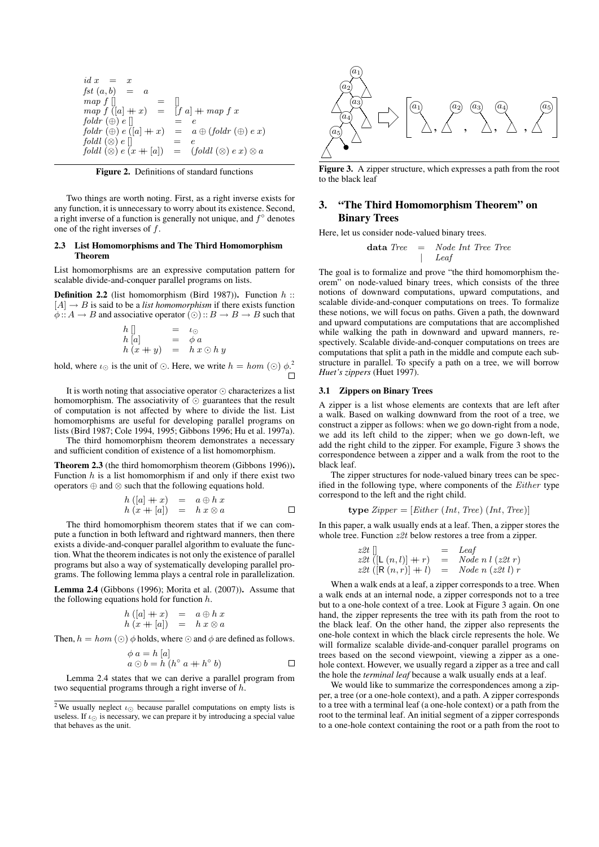$$
\begin{array}{rcl}\nid\ x & = & x \\
fst\ (a, b) & = & a \\
map\ f \ [ \ ] & = & \end{array}\n\nmap\ f \ [ \ ] & = & \ \ \, \bigcup\limits_{x \in A} \ g \ [ \ ] & = & \ \ \, \bigcup\limits_{x \in A} \ g \ [ \ ] & = & \ \ \, \bigcap\limits_{x \in A} \ g \ [ \ ] & = & \ \ \, \bigcap\limits_{x \in A} \ g \ [ \ ] & = & \ \ \, \bigcap\limits_{x \in A} \ g \ [ \ ] & = & \ \ \, \bigcap\limits_{x \in A} \ g \ [ \ ] & = & \ \ \, \bigcap\limits_{x \in A} \ g \ [ \ ] & = & \ \ \, \bigcap\limits_{x \in A} \ g \ [ \ ] & = & \ \ \, \bigcap\limits_{x \in A} \ g \ [ \ ] & = & \ \ \, \bigcap\limits_{x \in A} \ g \ [ \ ] & = & \ \ \, \bigcap\limits_{x \in A} \ g \ [ \ ] & = & \ \ \, \bigcap\limits_{x \in A} \ g \ [ \ ] & = & \ \ \, \bigcap\limits_{x \in A} \ g \ [ \ ] & = & \ \ \, \bigcap\limits_{x \in A} \ g \ [ \ ] & = & \ \ \, \bigcap\limits_{x \in A} \ g \ [ \ ] & = & \ \ \, \bigcap\limits_{x \in A} \ g \ [ \ ] & = & \ \ \, \bigcap\limits_{x \in A} \ g \ [ \ ] & = & \ \ \, \bigcap\limits_{x \in A} \ g \ [ \ ] & = & \ \ \, \bigcap\limits_{x \in A} \ g \ [ \ ] & = & \ \ \, \bigcap\limits_{x \in A} \ g \ [ \ ] & = & \ \ \, \bigcap\limits_{x \in A} \ g \ [ \ ] & = & \ \ \, \bigcap\limits_{x \in A} \ g \ [ \ ] & = & \ \ \, \bigcap\limits_{x \in A} \ g \ [ \ ] & = & \ \ \, \bigcap\limits_{x \in A} \ g \ [ \ ] & = & \ \ \, \bigcap\limits_{x \in A} \ g \ [ \ ] & = & \ \ \, \bigcap\limits_{x \in A} \ g \ [ \ ] & = & \ \ \, \bigcap\limits_{x \in A} \ g \ [ \ ] & = &
$$

Figure 2. Definitions of standard functions

Two things are worth noting. First, as a right inverse exists for any function, it is unnecessary to worry about its existence. Second, a right inverse of a function is generally not unique, and *f ◦* denotes one of the right inverses of *f*.

### 2.3 List Homomorphisms and The Third Homomorphism Theorem

List homomorphisms are an expressive computation pattern for scalable divide-and-conquer parallel programs on lists.

Definition 2.2 (list homomorphism (Bird 1987)). Function *h* ::  $[A] \rightarrow B$  is said to be a *list homomorphism* if there exists function  $\phi$ :: *A*  $\rightarrow$  *B* and associative operator ( $\odot$ ) :: *B*  $\rightarrow$  *B*  $\rightarrow$  *B* such that

$$
\begin{array}{rcl}\nh \n\begin{bmatrix}\n\end{bmatrix} & = & \iota_{\odot} \\
h \begin{bmatrix}\na\end{bmatrix} & = & \phi \ a \\
h \begin{bmatrix}\nx + y\n\end{bmatrix} & = & h \ x \odot h \ y\n\end{array}
$$

hold, where  $\iota_{\odot}$  is the unit of  $\odot$ . Here, we write  $h = hom(\odot) \phi$ .

It is worth noting that associative operator *⊙* characterizes a list homomorphism. The associativity of *⊙* guarantees that the result of computation is not affected by where to divide the list. List homomorphisms are useful for developing parallel programs on lists (Bird 1987; Cole 1994, 1995; Gibbons 1996; Hu et al. 1997a).

The third homomorphism theorem demonstrates a necessary and sufficient condition of existence of a list homomorphism.

Theorem 2.3 (the third homomorphism theorem (Gibbons 1996)). Function *h* is a list homomorphism if and only if there exist two operators *⊕* and *⊗* such that the following equations hold.

$$
h([a]+x) = a \oplus h x
$$
  
\n
$$
h(x+ [a]) = h x \otimes a
$$

The third homomorphism theorem states that if we can compute a function in both leftward and rightward manners, then there exists a divide-and-conquer parallel algorithm to evaluate the function. What the theorem indicates is not only the existence of parallel programs but also a way of systematically developing parallel programs. The following lemma plays a central role in parallelization.

Lemma 2.4 (Gibbons (1996); Morita et al. (2007)). Assume that the following equations hold for function *h*.

$$
\begin{array}{rcl} h\left([a] + x\right) & = & a \oplus h\,x \\ h\left(x + [a]\right) & = & h\,x \otimes a \end{array}
$$

Then,  $h = hom(\odot) \phi$  holds, where  $\odot$  and  $\phi$  are defined as follows.

$$
\phi a = h [a]
$$
  
\n
$$
a \odot b = h (h^{\circ} a + h^{\circ} b)
$$

Lemma 2.4 states that we can derive a parallel program from two sequential programs through a right inverse of *h*.



Figure 3. A zipper structure, which expresses a path from the root to the black leaf

# 3. "The Third Homomorphism Theorem" on Binary Trees

Here, let us consider node-valued binary trees.

$$
\begin{array}{ccc}\n\textbf{data Tree} & = & Node\ Int\ Tree\ Tree \\
\mid &Leaf\n\end{array}
$$

The goal is to formalize and prove "the third homomorphism theorem" on node-valued binary trees, which consists of the three notions of downward computations, upward computations, and scalable divide-and-conquer computations on trees. To formalize these notions, we will focus on paths. Given a path, the downward and upward computations are computations that are accomplished while walking the path in downward and upward manners, respectively. Scalable divide-and-conquer computations on trees are computations that split a path in the middle and compute each substructure in parallel. To specify a path on a tree, we will borrow *Huet's zippers* (Huet 1997).

#### 3.1 Zippers on Binary Trees

A zipper is a list whose elements are contexts that are left after a walk. Based on walking downward from the root of a tree, we construct a zipper as follows: when we go down-right from a node, we add its left child to the zipper; when we go down-left, we add the right child to the zipper. For example, Figure 3 shows the correspondence between a zipper and a walk from the root to the black leaf.

The zipper structures for node-valued binary trees can be specified in the following type, where components of the *Either* type correspond to the left and the right child.

$$
type\ Zipper = [Either\ (Int,\ Tree)\ (Int,\ Tree)]
$$

In this paper, a walk usually ends at a leaf. Then, a zipper stores the whole tree. Function *z2t* below restores a tree from a zipper.

$$
\begin{array}{lll} z2t & = & \textit{Leaf} \\ z2t & (\textup{[L $(n,l)$}] + r) & = & \textit{Node n l (z2t r)} \\ z2t & (\textup{[R $(n,r)$}] + l) & = & \textit{Node n (z2t l) r} \end{array}
$$

When a walk ends at a leaf, a zipper corresponds to a tree. When a walk ends at an internal node, a zipper corresponds not to a tree but to a one-hole context of a tree. Look at Figure 3 again. On one hand, the zipper represents the tree with its path from the root to the black leaf. On the other hand, the zipper also represents the one-hole context in which the black circle represents the hole. We will formalize scalable divide-and-conquer parallel programs on trees based on the second viewpoint, viewing a zipper as a onehole context. However, we usually regard a zipper as a tree and call the hole the *terminal leaf* because a walk usually ends at a leaf.

We would like to summarize the correspondences among a zipper, a tree (or a one-hole context), and a path. A zipper corresponds to a tree with a terminal leaf (a one-hole context) or a path from the root to the terminal leaf. An initial segment of a zipper corresponds to a one-hole context containing the root or a path from the root to

<sup>2</sup> We usually neglect *<sup>ι</sup><sup>⊙</sup>* because parallel computations on empty lists is useless. If  $\iota_{\Omega}$  is necessary, we can prepare it by introducing a special value that behaves as the unit.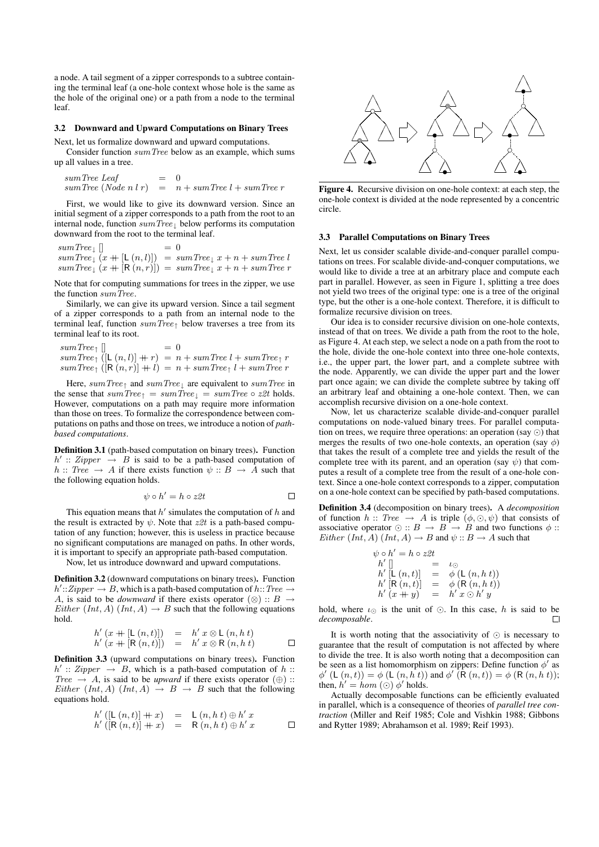a node. A tail segment of a zipper corresponds to a subtree containing the terminal leaf (a one-hole context whose hole is the same as the hole of the original one) or a path from a node to the terminal leaf.

#### 3.2 Downward and Upward Computations on Binary Trees

Next, let us formalize downward and upward computations.

Consider function *sumTree* below as an example, which sums up all values in a tree.

*sumTree Leaf* = 0  $sumTree (Node n l r) = n + sumTree l + sumTree r$ 

First, we would like to give its downward version. Since an initial segment of a zipper corresponds to a path from the root to an internal node, function *sumTree<sup>↓</sup>* below performs its computation downward from the root to the terminal leaf.

 $sumTree_{\downarrow}$  []  $= 0$  $sumTree_{\downarrow}(\vec{x} + [\mathsf{L}(n, l)]) = sumTree_{\downarrow}x + n + sumTree_{\downarrow}l$  $sumTree_{\perp} (x + [R(n,r)]) = sumTree_{\perp} x + n + sumTree$  *r* 

Note that for computing summations for trees in the zipper, we use the function *sumTree*.

Similarly, we can give its upward version. Since a tail segment of a zipper corresponds to a path from an internal node to the terminal leaf, function *sumTree<sup>↑</sup>* below traverses a tree from its terminal leaf to its root.

$$
sumTree_{\uparrow} [] = 0
$$
  
\n
$$
sumTree_{\uparrow} ([L(n, l)] + r) = n + sumTree_l + sumTree_{\uparrow} r
$$
  
\n
$$
sumTree_{\uparrow} ([R(n, r)] + l) = n + sumTree_l l + sumTree_r
$$

Here, *sumTree<sup>↑</sup>* and *sumTree<sup>↓</sup>* are equivalent to *sumTree* in the sense that  $sumTree_{\uparrow} = sumTree_{\downarrow} = sumTree \circ z2t$  holds. However, computations on a path may require more information than those on trees. To formalize the correspondence between computations on paths and those on trees, we introduce a notion of *pathbased computations*.

Definition 3.1 (path-based computation on binary trees). Function  $h'$  :: *Zipper*  $\rightarrow$  *B* is said to be a path-based computation of *h* :: *Tree*  $\rightarrow$  *A* if there exists function  $\psi$  :: *B*  $\rightarrow$  *A* such that the following equation holds.

$$
\psi \circ h' = h \circ z \mathcal{Z} t \qquad \qquad \Box
$$

This equation means that *h ′* simulates the computation of *h* and the result is extracted by  $\psi$ . Note that *z2t* is a path-based computation of any function; however, this is useless in practice because no significant computations are managed on paths. In other words, it is important to specify an appropriate path-based computation.

Now, let us introduce downward and upward computations.

Definition 3.2 (downward computations on binary trees). Function *h ′* ::*Zipper → B*, which is a path-based computation of *h*::*Tree → A*, is said to be *downward* if there exists operator ( $\otimes$ ) :: *B*  $\rightarrow$ *Either* (*Int, A*) (*Int, A*)  $\rightarrow$  *B* such that the following equations hold.

$$
h' (x + [L (n,t)]) = h' x \otimes L (n,h t)
$$
  

$$
h' (x + [R (n,t)]) = h' x \otimes R (n,h t)
$$

Definition 3.3 (upward computations on binary trees). Function  $h'$ : *Zipper*  $\rightarrow$  *B*, which is a path-based computation of  $h$ : *Tree*  $\rightarrow$  *A*, is said to be *upward* if there exists operator  $(\oplus)$  :: *Either*  $(Int, A)$   $(Int, A) \rightarrow B \rightarrow B$  such that the following equations hold.

$$
h' ([L (n,t)] + x) = L (n,h t) \oplus h' x
$$
  

$$
h' ([R (n,t)] + x) = R (n,h t) \oplus h' x
$$



Figure 4. Recursive division on one-hole context: at each step, the one-hole context is divided at the node represented by a concentric circle.

#### 3.3 Parallel Computations on Binary Trees

Next, let us consider scalable divide-and-conquer parallel computations on trees. For scalable divide-and-conquer computations, we would like to divide a tree at an arbitrary place and compute each part in parallel. However, as seen in Figure 1, splitting a tree does not yield two trees of the original type: one is a tree of the original type, but the other is a one-hole context. Therefore, it is difficult to formalize recursive division on trees.

Our idea is to consider recursive division on one-hole contexts, instead of that on trees. We divide a path from the root to the hole, as Figure 4. At each step, we select a node on a path from the root to the hole, divide the one-hole context into three one-hole contexts, i.e., the upper part, the lower part, and a complete subtree with the node. Apparently, we can divide the upper part and the lower part once again; we can divide the complete subtree by taking off an arbitrary leaf and obtaining a one-hole context. Then, we can accomplish recursive division on a one-hole context.

Now, let us characterize scalable divide-and-conquer parallel computations on node-valued binary trees. For parallel computation on trees, we require three operations: an operation (say *⊙*) that merges the results of two one-hole contexts, an operation (say *φ*) that takes the result of a complete tree and yields the result of the complete tree with its parent, and an operation (say  $\psi$ ) that computes a result of a complete tree from the result of a one-hole context. Since a one-hole context corresponds to a zipper, computation on a one-hole context can be specified by path-based computations.

Definition 3.4 (decomposition on binary trees). A *decomposition* of function *h* :: *Tree*  $\rightarrow$  *A* is triple  $(\phi, \odot, \psi)$  that consists of associative operator  $\odot$  ::  $B \rightarrow B \rightarrow B$  and two functions  $\phi$  :: *Either*  $(Int, A)$   $(Int, A) \rightarrow B$  and  $\psi :: B \rightarrow A$  such that

$$
\begin{array}{lll}\n\psi \circ h' = h \circ z \mathcal{Z} t \\
h' \big[ & = & \iota_{\odot} \\
h' \big[ \mathsf{L}\left( n, t \right) \big] & = & \phi \left( \mathsf{L}\left( n, h\, t \right) \right) \\
h' \big[ \mathsf{R}\left( n, t \right) \big] & = & \phi \left( \mathsf{R}\left( n, h\, t \right) \right) \\
h' \big( x + y \big) & = & h' \, x \odot h' \, y\n\end{array}
$$

hold, where  $\iota_{\odot}$  is the unit of  $\odot$ . In this case, *h* is said to be *decomposable decomposable*.

It is worth noting that the associativity of *⊙* is necessary to guarantee that the result of computation is not affected by where to divide the tree. It is also worth noting that a decomposition can be seen as a list homomorphism on zippers: Define function *φ ′* as  $\phi'$  (**L**  $(n, t)$ ) =  $\phi$  (**L**  $(n, h \ t)$ ) and  $\phi'$  (**R**  $(n, t)$ ) =  $\phi$  (**R**  $(n, h \ t)$ ); then,  $h' = hom(\odot) \phi'$  holds.

Actually decomposable functions can be efficiently evaluated in parallel, which is a consequence of theories of *parallel tree contraction* (Miller and Reif 1985; Cole and Vishkin 1988; Gibbons and Rytter 1989; Abrahamson et al. 1989; Reif 1993).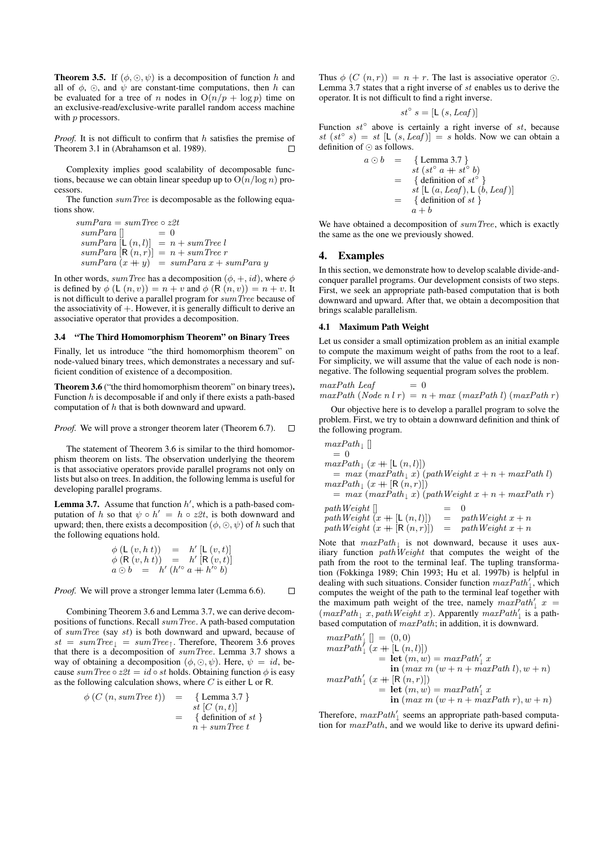**Theorem 3.5.** If  $(\phi, \odot, \psi)$  is a decomposition of function *h* and all of  $\phi$ ,  $\odot$ , and  $\psi$  are constant-time computations, then *h* can be evaluated for a tree of *n* nodes in  $O(n/p + \log p)$  time on an exclusive-read/exclusive-write parallel random access machine with *p* processors.

*Proof.* It is not difficult to confirm that *h* satisfies the premise of Theorem 3.1 in (Abrahamson et al. 1989).  $\Box$ 

Complexity implies good scalability of decomposable functions, because we can obtain linear speedup up to  $O(n/\log n)$  processors.

The function *sumTree* is decomposable as the following equations show.

 $sumPara = sumTree \circ z2t$ <br> $sumPara [] = 0$  $sumPara$   $\Box$  $sumPara \left[ \mathsf{L} \left( n, l \right) \right] = n + sumTree \ l$  $sumPara$   $\lbrack R(n,r) \rbrack = n + sumTree$  *r*  $sumPara(x + y) = sumPara x + sumPara y$ 

In other words,  $sumTree$  has a decomposition  $(\phi, +, id)$ , where  $\phi$ is defined by  $\phi$  (L  $(n, v)$ ) =  $n + v$  and  $\phi$  (R  $(n, v)$ ) =  $n + v$ . It is not difficult to derive a parallel program for *sumTree* because of the associativity of  $+$ . However, it is generally difficult to derive an associative operator that provides a decomposition.

#### 3.4 "The Third Homomorphism Theorem" on Binary Trees

Finally, let us introduce "the third homomorphism theorem" on node-valued binary trees, which demonstrates a necessary and sufficient condition of existence of a decomposition.

Theorem 3.6 ("the third homomorphism theorem" on binary trees). Function *h* is decomposable if and only if there exists a path-based computation of *h* that is both downward and upward.

*Proof.* We will prove a stronger theorem later (Theorem 6.7).  $\Box$ 

The statement of Theorem 3.6 is similar to the third homomorphism theorem on lists. The observation underlying the theorem is that associative operators provide parallel programs not only on lists but also on trees. In addition, the following lemma is useful for developing parallel programs.

Lemma 3.7. Assume that function *h ′* , which is a path-based computation of *h* so that  $\psi \circ h' = h \circ z \mathcal{Z}t$ , is both downward and upward; then, there exists a decomposition  $(\phi, \odot, \psi)$  of *h* such that the following equations hold.

$$
\begin{array}{rcl}\n\phi \left( \mathsf{L}\left( v,h\,t\right) \right) & = & h'\left[ \mathsf{L}\left( v,t\right) \right] \\
\phi \left( \mathsf{R}\left( v,h\,t\right) \right) & = & h'\left[ \mathsf{R}\left( v,t\right) \right] \\
a\odot b & = & h'\left( h'^{\circ }\,a+ h'^{\circ }\,b\right)\n\end{array}
$$

*Proof.* We will prove a stronger lemma later (Lemma 6.6).

 $\Box$ 

Combining Theorem 3.6 and Lemma 3.7, we can derive decompositions of functions. Recall *sumTree*. A path-based computation of *sumTree* (say *st*) is both downward and upward, because of *st* = *sumTree<sup>↓</sup>* = *sumTree↑*. Therefore, Theorem 3.6 proves that there is a decomposition of *sumTree*. Lemma 3.7 shows a way of obtaining a decomposition  $(\phi, \odot, \psi)$ . Here,  $\psi = id$ , because  $sumTree \circ z2t = id \circ st$  holds. Obtaining function  $\phi$  is easy as the following calculation shows, where *C* is either L or R.

$$
\begin{array}{rcl}\n\phi \left( C \left( n, sumTree t \right) \right) & = & \{ Lemma 3.7 \} \\
& \text{st } \left[ C \left( n, t \right) \right] \\
& = & \{ definition of st \} \\
& n + sumTree t\n\end{array}
$$

Thus  $\phi$  (*C*  $(n,r)$ ) =  $n + r$ . The last is associative operator  $\odot$ . Lemma 3.7 states that a right inverse of *st* enables us to derive the operator. It is not difficult to find a right inverse.

$$
st^{\circ} s = [\mathsf{L}(s, \mathit{Leaf})]
$$

Function *st◦* above is certainly a right inverse of *st*, because *st*  $(st^{\circ} s) = st$  [L  $(s, \text{Leaf})$ ] = *s* holds. Now we can obtain a definition of *⊙* as follows.

$$
a \odot b = \{ \text{ Lemma 3.7 } \}
$$
  
\n
$$
st (st^{\circ} a + st^{\circ} b)
$$
  
\n
$$
= \{ \text{definition of } st^{\circ} \}
$$
  
\n
$$
st [\text{L } (a, \text{Leaf}), \text{L } (b, \text{Leaf})]
$$
  
\n
$$
= \{ \text{definition of } st \}
$$
  
\n
$$
a + b
$$

We have obtained a decomposition of *sumTree*, which is exactly the same as the one we previously showed.

### 4. Examples

In this section, we demonstrate how to develop scalable divide-andconquer parallel programs. Our development consists of two steps. First, we seek an appropriate path-based computation that is both downward and upward. After that, we obtain a decomposition that brings scalable parallelism.

#### 4.1 Maximum Path Weight

Let us consider a small optimization problem as an initial example to compute the maximum weight of paths from the root to a leaf. For simplicity, we will assume that the value of each node is nonnegative. The following sequential program solves the problem.

$$
maxPath \; leaf \quad = 0
$$
  

$$
maxPath \; (Node \; n \; l \; r) \; = \; n + max \; (maxPath \; l) \; (maxPath \; r)
$$

Our objective here is to develop a parallel program to solve the problem. First, we try to obtain a downward definition and think of the following program.

$$
maxPath_1 []
$$
  
= 0  

$$
maxPath_1 (x + [L (n, l)])
$$
  
= max (maxPath\_1 x) (path Weight  $x + n + maxPath l$ )  

$$
maxPath_1 (x + [R (n, r)])
$$
  
= max (maxPath\_1 x) (path Weight  $x + n + maxPath r$ )  

$$
path Weight []
$$
  
= 0  

$$
path Weight (x + [L (n, l)])
$$
  
= 
$$
path Weight x + n
$$

 $pathWeight(x + [L(n, l)])$  =  $pathWeight(x + n)$  $pathWeight(x + [R(n,r)])$  =  $pathWeight(x + n)$ 

Note that  $maxPath_{\perp}$  is not downward, because it uses auxiliary function *pathWeight* that computes the weight of the path from the root to the terminal leaf. The tupling transformation (Fokkinga 1989; Chin 1993; Hu et al. 1997b) is helpful in dealing with such situations. Consider function *maxPath′ <sup>↓</sup>*, which computes the weight of the path to the terminal leaf together with the maximum path weight of the tree, namely  $maxPath'_\downarrow x =$  $(maxPath_{\downarrow} x, pathWeight x)$ . Apparently  $maxPath'_{\downarrow}$  is a pathbased computation of *maxPath*; in addition, it is downward.

$$
maxPath'_{\perp} [] = (0,0)
$$
  
\n
$$
maxPath'_{\perp} (x + [L(n,l)])
$$
  
\n
$$
= let (m, w) = maxPath'_{\perp} x
$$
  
\n
$$
in (max m (w + n + maxPath l), w + n)
$$
  
\n
$$
maxPath'_{\perp} (x + [R (n,r)])
$$
  
\n
$$
= let (m, w) = maxPath'_{\perp} x
$$
  
\n
$$
in (max m (w + n + maxPath r), w + n)
$$

Therefore,  $maxPath'_{\perp}$  seems an appropriate path-based computation for *maxPath*, and we would like to derive its upward defini-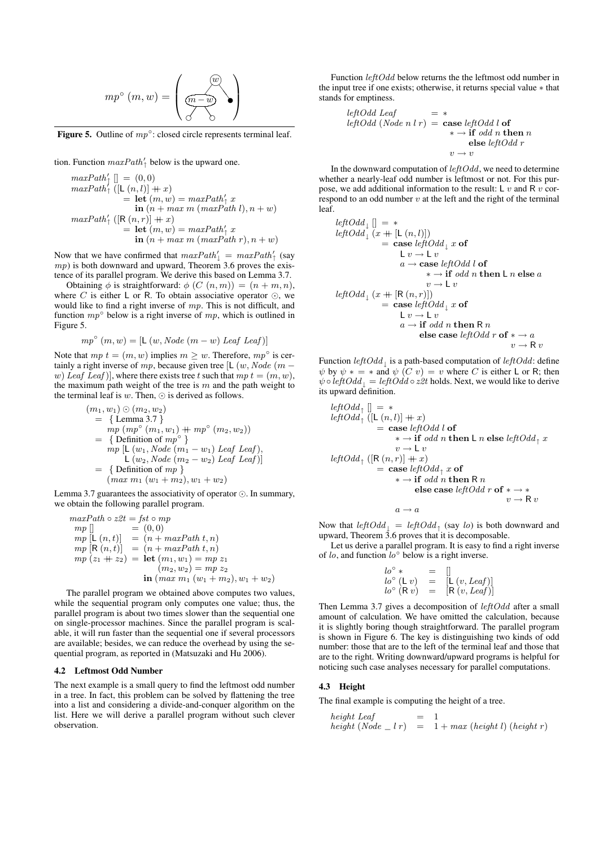$$
mp^{\circ}(m, w) = \begin{pmatrix} w \\ \hline \overbrace{m-w} \\ \overline{0} \end{pmatrix}
$$

Figure 5. Outline of *mp◦* : closed circle represents terminal leaf.

tion. Function *maxPath′ <sup>↑</sup>* below is the upward one.

$$
maxPath_{\uparrow}^{\prime}[] = (0,0)
$$
  
\n
$$
maxPath_{\uparrow}^{\prime}([L(n,l)] + x)
$$
  
\n
$$
= let (m, w) = maxPath_{\uparrow}^{\prime} x
$$
  
\n
$$
in (n + max m (maxPath l), n + w)
$$
  
\n
$$
maxPath_{\uparrow}^{\prime}([R(n,r)] + x)
$$
  
\n
$$
= let (m, w) = maxPath_{\uparrow}^{\prime} x
$$
  
\n
$$
in (n + max m (maxPath r), n + w)
$$

Now that we have confirmed that  $maxPath'_\perp = maxPath'_\uparrow$  (say *mp*) is both downward and upward, Theorem 3.6 proves the existence of its parallel program. We derive this based on Lemma 3.7.

Obtaining  $\phi$  is straightforward:  $\phi$  (*C*  $(n, m)$ ) =  $(n + m, n)$ , where *C* is either L or R. To obtain associative operator *⊙*, we would like to find a right inverse of *mp*. This is not difficult, and function *mp◦* below is a right inverse of *mp*, which is outlined in Figure 5.

$$
mp^{\circ} (m, w) = [L (w, Node (m - w) \text{Leaf } \text{Leaf})]
$$

Note that  $mp \ t = (m, w)$  implies  $m \geq w$ . Therefore,  $mp^{\circ}$  is certainly a right inverse of *mp*, because given tree [L (*w, Node* (*m − w*) *Leaf Leaf* )], where there exists tree *t* such that  $mp t = (m, w)$ , the maximum path weight of the tree is *m* and the path weight to the terminal leaf is *w*. Then, *⊙* is derived as follows.

$$
(m_1, w_1) \odot (m_2, w_2)
$$
  
= { Lemma 3.7 }  

$$
mp (mp^{\circ} (m_1, w_1) + mp^{\circ} (m_2, w_2))
$$
  
= { Definition of  $mp^{\circ}$  }  

$$
mp [L (w_1, Node (m_1 - w_1) Leaf Leaf),
$$
  

$$
L (w_2, Node (m_2 - w_2) Leaf Leaf)]
$$
  
= { Definition of  $mp$  }  

$$
(max m_1 (w_1 + m_2), w_1 + w_2)
$$

Lemma 3.7 guarantees the associativity of operator *⊙*. In summary, we obtain the following parallel program.

$$
maxPath \circ z2t = fst \circ mp \nmp [] = (0,0) \nmp [L (n,t)] = (n + maxPath t, n) \nmp [R (n,t)] = (n + maxPath t, n) \nmp (z1 + z2) = let (m1, w1) = mp z1 \n(mz, w2) = mp z2 \nin (max m1 (w1 + m2), w1 + w2)
$$

The parallel program we obtained above computes two values, while the sequential program only computes one value; thus, the parallel program is about two times slower than the sequential one on single-processor machines. Since the parallel program is scalable, it will run faster than the sequential one if several processors are available; besides, we can reduce the overhead by using the sequential program, as reported in (Matsuzaki and Hu 2006).

#### 4.2 Leftmost Odd Number

The next example is a small query to find the leftmost odd number in a tree. In fact, this problem can be solved by flattening the tree into a list and considering a divide-and-conquer algorithm on the list. Here we will derive a parallel program without such clever observation.

Function *leftOdd* below returns the the leftmost odd number in the input tree if one exists; otherwise, it returns special value *∗* that stands for emptiness.

$$
\begin{array}{lll}\n\text{leftOdd} & \text{Leaf} & = & * \\
\text{leftOdd} & (\text{Node } n \mid r) & = & \text{case } \text{leftOdd } l \text{ of} \\
& & * & \to \text{if} \text{ odd } n \text{ then } n \\
& & \text{else } \text{leftOdd } r \\
& & v \to v\n\end{array}
$$

In the downward computation of *leftOdd*, we need to determine whether a nearly-leaf odd number is leftmost or not. For this purpose, we add additional information to the result: L *v* and R *v* correspond to an odd number *v* at the left and the right of the terminal leaf.

$$
leftOdd_{\perp}[] = *
$$
\n
$$
leftOdd_{\perp} (x + [L (n, l)])
$$
\n
$$
= case \text{ left}Odd_{\perp} x \text{ of}
$$
\n
$$
L v \rightarrow L v
$$
\n
$$
a \rightarrow case \text{ left}Odd \text{ l of}
$$
\n
$$
* \rightarrow \text{ if } odd n \text{ then } L n \text{ else } a
$$
\n
$$
v \rightarrow L v
$$
\n
$$
leftOdd_{\perp} (x + [R (n, r)])
$$
\n
$$
= case \text{ left}Odd_{\perp} x \text{ of}
$$
\n
$$
L v \rightarrow L v
$$
\n
$$
a \rightarrow \text{ if } odd n \text{ then } R n
$$
\n
$$
= case \text{ left}Odd r \text{ of } * \rightarrow a
$$
\n
$$
v \rightarrow R v
$$

Function *leftOdd<sup>↓</sup>* is a path-based computation of *leftOdd*: define *ψ* by  $\psi * = *$  and  $\psi$  (*C v*) = *v* where *C* is either L or R; then  $\psi \circ \text{leftOdd}_1 = \text{leftOdd} \circ \text{z2t}$  holds. Next, we would like to derive its upward definition.

$$
leftOdd_{\uparrow}[] = *
$$
  
\n
$$
leftOdd_{\uparrow}([L(n,l)] + x)
$$
  
\n
$$
= case \text{ leftOdd } l \text{ of}
$$
  
\n
$$
* \rightarrow \text{ if } odd n \text{ then } L n \text{ else } leftOdd_{\uparrow} x
$$
  
\n
$$
leftOdd_{\uparrow}([R(n,r)] + x)
$$
  
\n
$$
= case \text{ leftOdd}_{\uparrow} x \text{ of}
$$
  
\n
$$
* \rightarrow \text{ if } odd n \text{ then } R n
$$
  
\n
$$
= case \text{ leftOdd } r \text{ of } * \rightarrow *
$$
  
\n
$$
0 \rightarrow 0
$$

Now that  $leftOdd_{\uparrow} = leftOdd_{\uparrow}$  (say *lo*) is both downward and upward, Theorem 3.6 proves that it is decomposable.

Let us derive a parallel program. It is easy to find a right inverse of *lo*, and function *lo◦* below is a right inverse.

$$
\begin{array}{rcl}\n\log^{\circ} * & = & [] \\
\log^{\circ} (\mathsf{L} \ v) & = & [\mathsf{L} \ (v, \mathit{Leaf})] \\
\log^{\circ} (\mathsf{R} \ v) & = & [\mathsf{R} \ (v, \mathit{Leaf})]\n\end{array}
$$

Then Lemma 3.7 gives a decomposition of *leftOdd* after a small amount of calculation. We have omitted the calculation, because it is slightly boring though straightforward. The parallel program is shown in Figure 6. The key is distinguishing two kinds of odd number: those that are to the left of the terminal leaf and those that are to the right. Writing downward/upward programs is helpful for noticing such case analyses necessary for parallel computations.

## 4.3 Height

The final example is computing the height of a tree.

$$
\begin{array}{lcl}\n\text{height } \text{Leaf} & = & 1 \\
\text{height } (\text{Node } \_ l \ r) & = & 1 + \text{max } (\text{height } l) (\text{height } r)\n\end{array}
$$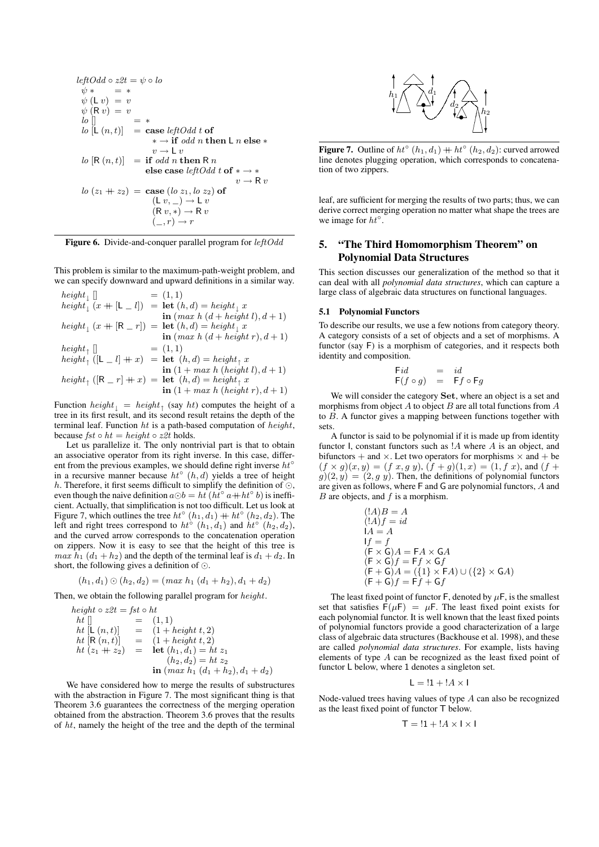$$
leftOdd \circ z2t = \psi \circ lo
$$
  
\n
$$
\psi * = *
$$
  
\n
$$
\psi (L v) = v
$$
  
\n
$$
lo [L (n, t)] = *
$$
  
\n
$$
lo [L (n, t)] = case leftOdd to f
$$
  
\n
$$
* \rightarrow if odd n then L n else *
$$
  
\n
$$
lo [R (n, t)] = if odd n then R n
$$
  
\nelse case leftOdd to f \* \rightarrow \*  
\nelse case leftOdd to f \* \rightarrow \*  
\n
$$
lo (z_1 + z_2) = case (lo z_1, lo z_2) of
$$
  
\n
$$
(L v, ) \rightarrow L v
$$
  
\n
$$
(R v, *) \rightarrow R v
$$
  
\n
$$
(-, r) \rightarrow r
$$

Figure 6. Divide-and-conquer parallel program for *leftOdd*

This problem is similar to the maximum-path-weight problem, and we can specify downward and upward definitions in a similar way.

$$
height_{\perp} [] = (1,1)
$$
\n
$$
height_{\perp} (x + [L - l]) = \text{let } (h, d) = height_{\perp} x
$$
\n
$$
in (max h (d + height l), d + 1)
$$
\n
$$
height_{\perp} (x + [R - r]) = \text{let } (h, d) = height_{\perp} x
$$
\n
$$
in (max h (d + height r), d + 1)
$$
\n
$$
height_{\uparrow} [] = (1,1)
$$
\n
$$
height_{\uparrow} ([L - l] + x) = \text{let } (h, d) = height_{\uparrow} x
$$
\n
$$
in (1 + max h (height l), d + 1)
$$
\n
$$
height_{\uparrow} (R - r] + x) = \text{let } (h, d) = height_{\uparrow} x
$$
\n
$$
in (1 + max h (height r), d + 1)
$$

Function  $height_{\perp} = height_{\uparrow}$  (say *ht*) computes the height of a tree in its first result, and its second result retains the depth of the terminal leaf. Function *ht* is a path-based computation of *height*, because *fst*  $\circ$  *ht* = *height*  $\circ$  *z* $\hat{2t}$  holds.

Let us parallelize it. The only nontrivial part is that to obtain an associative operator from its right inverse. In this case, different from the previous examples, we should define right inverse *ht◦* in a recursive manner because *ht◦* (*h, d*) yields a tree of height *h*. Therefore, it first seems difficult to simplify the definition of *⊙*, even though the naive definition  $a \odot b = ht (ht \circ a + ht \circ b)$  is inefficient. Actually, that simplification is not too difficult. Let us look at Figure 7, which outlines the tree  $ht^{\circ}(h_1, d_1) + ht^{\circ}(h_2, d_2)$ . The left and right trees correspond to  $ht^{\circ}$   $(h_1, d_1)$  and  $ht^{\circ}$   $(h_2, d_2)$ , and the curved arrow corresponds to the concatenation operation on zippers. Now it is easy to see that the height of this tree is *max*  $h_1$  ( $d_1 + h_2$ ) and the depth of the terminal leaf is  $d_1 + d_2$ . In short, the following gives a definition of *⊙*.

$$
(h_1, d_1) \odot (h_2, d_2) = (max h_1 (d_1 + h_2), d_1 + d_2)
$$

Then, we obtain the following parallel program for *height*.

$$
\begin{array}{lll} height \circ z2t = fst \circ ht & & \\ ht [] & = & (1,1) & \\ ht [L(n,t)] & = & (1 + height t, 2) & \\ ht [R(n,t)] & = & (1 + height t, 2) & \\ ht (z_1 + z_2) & = & let (h_1, d_1) = ht z_1 & \\ & & (h_2, d_2) = ht z_2 & \\ & & \text{in } (max h_1 (d_1 + h_2), d_1 + d_2) \end{array}
$$

We have considered how to merge the results of substructures with the abstraction in Figure 7. The most significant thing is that Theorem 3.6 guarantees the correctness of the merging operation obtained from the abstraction. Theorem 3.6 proves that the results of *ht*, namely the height of the tree and the depth of the terminal



**Figure 7.** Outline of  $ht^{\circ}(h_1, d_1) + ht^{\circ}(h_2, d_2)$ : curved arrowed line denotes plugging operation, which corresponds to concatenation of two zippers.

leaf, are sufficient for merging the results of two parts; thus, we can derive correct merging operation no matter what shape the trees are we image for *ht◦* .

# 5. "The Third Homomorphism Theorem" on Polynomial Data Structures

This section discusses our generalization of the method so that it can deal with all *polynomial data structures*, which can capture a large class of algebraic data structures on functional languages.

#### 5.1 Polynomial Functors

To describe our results, we use a few notions from category theory. A category consists of a set of objects and a set of morphisms. A functor (say F) is a morphism of categories, and it respects both identity and composition.

$$
\begin{array}{rcl}\n\mathsf{F} \, id & = & id \\
\mathsf{F} (f \circ g) & = & \mathsf{F} f \circ \mathsf{F} g\n\end{array}
$$

We will consider the category **Set**, where an object is a set and morphisms from object *A* to object *B* are all total functions from *A* to *B*. A functor gives a mapping between functions together with sets.

A functor is said to be polynomial if it is made up from identity functor I, constant functors such as !*A* where *A* is an object, and bifunctors  $+$  and  $\times$ . Let two operators for morphisms  $\times$  and  $+$  be  $(f \times g)(x, y) = (f \ x, g \ y), (f + g)(1, x) = (1, f \ x)$ , and  $(f + g)(1, x) = (1, f \ x)$  $g(2, y) = (2, g, y)$ . Then, the definitions of polynomial functors are given as follows, where F and G are polynomial functors, *A* and *B* are objects, and *f* is a morphism.

$$
(A)B = A
$$
  
\n
$$
(A) f = id
$$
  
\n
$$
A = A
$$
  
\n
$$
If = f
$$
  
\n
$$
(F \times G)A = FA \times GA
$$
  
\n
$$
(F \times G)f = Ff \times Gf
$$
  
\n
$$
(F + G)A = (\{1\} \times FA) \cup (\{2\} \times GA)
$$
  
\n
$$
(F + G)f = Ff + Gf
$$

The least fixed point of functor F, denoted by  $\mu$ F, is the smallest set that satisfies  $F(\mu F) = \mu F$ . The least fixed point exists for each polynomial functor. It is well known that the least fixed points of polynomial functors provide a good characterization of a large class of algebraic data structures (Backhouse et al. 1998), and these are called *polynomial data structures*. For example, lists having elements of type *A* can be recognized as the least fixed point of functor L below, where 1 denotes a singleton set.

$$
\mathsf{L} = !1 + !A \times \mathsf{I}
$$

Node-valued trees having values of type *A* can also be recognized as the least fixed point of functor T below.

$$
\mathsf{T} = !1 + !A \times I \times I
$$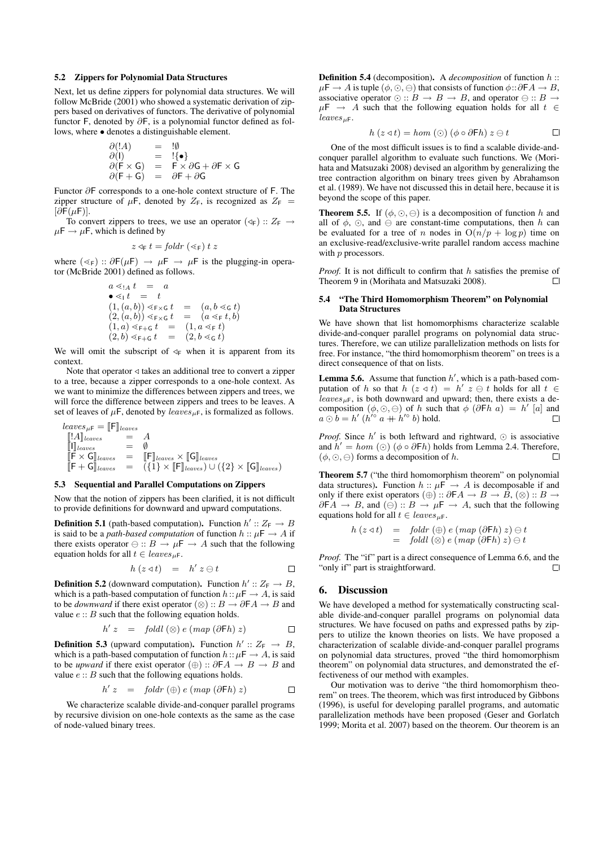#### 5.2 Zippers for Polynomial Data Structures

Next, let us define zippers for polynomial data structures. We will follow McBride (2001) who showed a systematic derivation of zippers based on derivatives of functors. The derivative of polynomial functor F, denoted by *∂*F, is a polynomial functor defined as follows, where *•* denotes a distinguishable element.

$$
\begin{array}{rcl}\n\partial (1A) & = & 10 \\
\partial (I) & = & I\{\bullet\} \\
\partial (F \times G) & = & F \times \partial G + \partial F \times G \\
\partial (F + G) & = & \partial F + \partial G\n\end{array}
$$

Functor *∂*F corresponds to a one-hole context structure of F. The zipper structure of  $\mu$ F, denoted by  $Z_F$ , is recognized as  $Z_F$  = [*∂*F(*µ*F)].

To convert zippers to trees, we use an operator  $(\mathcal{A}_F) :: Z_F \rightarrow$  $\mu \rightarrow \mu$ F, which is defined by

$$
z \triangleleft_\text{F} t = foldr \;(\lessdot_\text{F}) \; t \; z
$$

where (lF) :: *∂*F(*µ*F) *→ µ*F *→ µ*F is the plugging-in operator (McBride 2001) defined as follows.

$$
a \leq_{!A} t = a
$$
  
\n•  $\leq_{!} t = t$   
\n $(1, (a, b)) \leq_{F \times G} t = (a, b \leq_{G} t)$   
\n $(2, (a, b)) \leq_{F \times G} t = (a \leq_{F} t, b)$   
\n $(1, a) \leq_{F \times G} t = (1, a \leq_{F} t)$   
\n $(2, b) \leq_{F \times G} t = (2, b \leq_{G} t)$ 

We will omit the subscript of  $\leq_F$  when it is apparent from its context.

Note that operator  $\triangleleft$  takes an additional tree to convert a zipper to a tree, because a zipper corresponds to a one-hole context. As we want to minimize the differences between zippers and trees, we will force the difference between zippers and trees to be leaves. A set of leaves of  $\mu$ F, denoted by *leaves* $\mu$ <sub>F</sub>, is formalized as follows.

$$
leaves_{\mu F} = \llbracket F \rrbracket_{leaves} = A
$$
  
\n
$$
\llbracket \mathbf{1} \rrbracket_{leaves} = \emptyset
$$
  
\n
$$
\llbracket F \times G \rrbracket_{leaves} = \llbracket F \rrbracket_{leaves} \times \llbracket G \rrbracket_{leaves}
$$
  
\n
$$
\llbracket F + G \rrbracket_{leaves} = (\{1\} \times \llbracket F \rrbracket_{leaves}) \cup (\{2\} \times \llbracket G \rrbracket_{leaves})
$$

#### 5.3 Sequential and Parallel Computations on Zippers

Now that the notion of zippers has been clarified, it is not difficult to provide definitions for downward and upward computations.

**Definition 5.1** (path-based computation). Function  $h' :: Z_F \rightarrow B$ is said to be a *path-based computation* of function  $h$  ::  $\mu \mathsf{F} \to A$  if there exists operator  $\ominus :: B \rightarrow \mu \mathsf{F} \rightarrow A$  such that the following equation holds for all  $t \in leaves_{\mu\mathsf{F}}$ .

$$
h(z \triangleleft t) = h' z \ominus t \qquad \qquad \Box
$$

**Definition 5.2** (downward computation). Function  $h' :: Z_F \rightarrow B$ , which is a path-based computation of function  $h: \mu \to A$ , is said to be *downward* if there exist operator  $(\otimes)$  ::  $B \to \partial \mathsf{F} A \to B$  and value *e* :: *B* such that the following equation holds.

$$
h' z = f \text{oldl}(\otimes) e \text{ (map } (\partial \mathsf{F} h) z) \qquad \Box
$$

**Definition 5.3** (upward computation). Function  $h' :: Z_F \rightarrow B$ , which is a path-based computation of function  $h: \mu \to A$ , is said to be *upward* if there exist operator  $(\oplus)$  ::  $\partial \mathsf{F} A \to B \to B$  and value *e* :: *B* such that the following equations holds.

$$
h' z = foldr (\oplus) e (map (\partial \mathsf{F} h) z) \square
$$

We characterize scalable divide-and-conquer parallel programs by recursive division on one-hole contexts as the same as the case of node-valued binary trees.

Definition 5.4 (decomposition). A *decomposition* of function *h* ::  $\mu \rightarrow A$  is tuple  $(\phi, \odot, \ominus)$  that consists of function  $\phi$ :: $\partial \rightarrow A \rightarrow B$ , associative operator  $\odot$  ::  $B \rightarrow B \rightarrow B$ , and operator  $\ominus$  ::  $B \rightarrow$  $\mu$ F  $\rightarrow$  *A* such that the following equation holds for all  $t \in$ *leaves<sup>µ</sup>*F.

$$
h(z \triangleleft t) = hom(\odot) (\phi \circ \partial \mathsf{F} h) z \ominus t \qquad \qquad \Box
$$

One of the most difficult issues is to find a scalable divide-andconquer parallel algorithm to evaluate such functions. We (Morihata and Matsuzaki 2008) devised an algorithm by generalizing the tree contraction algorithm on binary trees given by Abrahamson et al. (1989). We have not discussed this in detail here, because it is beyond the scope of this paper.

**Theorem 5.5.** If  $(\phi, \odot, \ominus)$  is a decomposition of function *h* and all of  $\phi$ ,  $\odot$ , and  $\ominus$  are constant-time computations, then *h* can be evaluated for a tree of *n* nodes in  $O(n/p + \log p)$  time on an exclusive-read/exclusive-write parallel random access machine with *p* processors.

*Proof.* It is not difficult to confirm that *h* satisfies the premise of Theorem 9 in (Morihata and Matsuzaki 2008).  $\Box$ 

#### 5.4 "The Third Homomorphism Theorem" on Polynomial Data Structures

We have shown that list homomorphisms characterize scalable divide-and-conquer parallel programs on polynomial data structures. Therefore, we can utilize parallelization methods on lists for free. For instance, "the third homomorphism theorem" on trees is a direct consequence of that on lists.

Lemma 5.6. Assume that function *h ′* , which is a path-based computation of *h* so that  $h$  ( $z \triangleleft t$ ) =  $h'$   $z \ominus t$  holds for all  $t \in$  $\hat{l}eaves_{\mu\text{F}}$ , is both downward and upward; then, there exists a decomposition  $(\phi, \odot, \ominus)$  of *h* such that  $\phi$  ( $\partial$ F*h a*) = *h'* [*a*] and  $a \odot b = h'$   $(h'^{\circ} a + h'^{\circ} b)$  hold.

*Proof.* Since *h'* is both leftward and rightward, ⊙ is associative and  $h' = hom(\odot)(\phi \circ \partial \mathsf{F}h)$  holds from Lemma 2.4. Therefore,  $(\phi, \odot, \ominus)$  forms a decomposition of *h*.  $\Box$ 

Theorem 5.7 ("the third homomorphism theorem" on polynomial data structures). Function  $h$  ::  $\mu \rightarrow A$  is decomposable if and only if there exist operators  $(\oplus)$  ::  $\partial \mathsf{F} A \to B \to \overline{B}$ ,  $(\otimes)$  ::  $B \to$  $\partial \mathsf{F} A \rightarrow B$ , and  $(\ominus) :: B \rightarrow \mu \mathsf{F} \rightarrow A$ , such that the following equations hold for all  $t \in leaves_{\mu\text{F}}$ .

$$
h(z \triangleleft t) = foldr (\oplus) e (map (\partial \mathsf{F} h) z) \ominus t
$$
  
= foldl (\otimes) e (map (\partial \mathsf{F} h) z) \ominus t

*Proof.* The "if" part is a direct consequence of Lemma 6.6, and the "only if" part is straightforward. "only if" part is straightforward.

# 6. Discussion

We have developed a method for systematically constructing scalable divide-and-conquer parallel programs on polynomial data structures. We have focused on paths and expressed paths by zippers to utilize the known theories on lists. We have proposed a characterization of scalable divide-and-conquer parallel programs on polynomial data structures, proved "the third homomorphism theorem" on polynomial data structures, and demonstrated the effectiveness of our method with examples.

Our motivation was to derive "the third homomorphism theorem" on trees. The theorem, which was first introduced by Gibbons (1996), is useful for developing parallel programs, and automatic parallelization methods have been proposed (Geser and Gorlatch 1999; Morita et al. 2007) based on the theorem. Our theorem is an